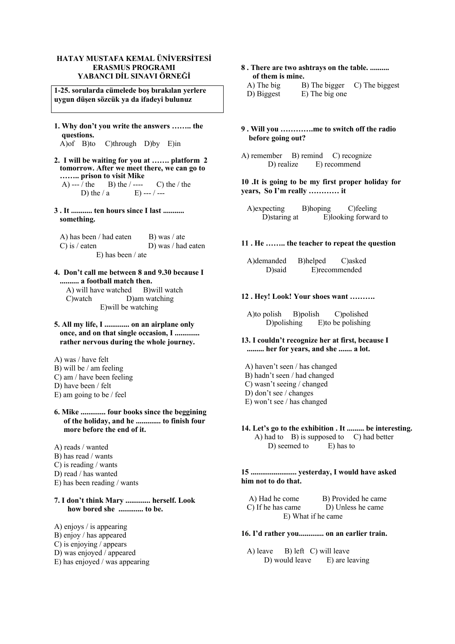# **HATAY MUSTAFA KEMAL ÜNİVERSİTESİ ERASMUS PROGRAMI YABANCI DİL SINAVI ÖRNEĞİ**

**1-25. sorularda cümelede boş bırakılan yerlere uygun düşen sözcük ya da ifadeyi bulunuz** 

- **1. Why don't you write the answers …….. the questions.** A)of B)to C)through D)by E)in
- **2. I will be waiting for you at ……. platform 2 tomorrow. After we meet there, we can go to …….. prison to visit Mike**

A) --- / the B) the / ---- C) the / the D) the  $/ a$  E) ---  $/ -$ 

**3 . It ........... ten hours since I last ........... something.**

A) has been  $/$  had eaten B) was  $/$  ate C) is / eaten D) was / had eaten E) has been / ate

**4. Don't call me between 8 and 9.30 because I .......... a football match then.**

 A) will have watched B)will watch C)watch D)am watching E)will be watching

**5. All my life, I ............. on an airplane only once, and on that single occasion, I ............. rather nervous during the whole journey.**

A) was / have felt

- B) will be / am feeling
- C) am / have been feeling

D) have been / felt

E) am going to be / feel

## **6. Mike ............. four books since the beggining of the holiday, and he ............. to finish four more before the end of it.**

A) reads / wanted B) has read / wants C) is reading / wants D) read / has wanted

E) has been reading / wants

### **7. I don't think Mary ............. herself. Look how bored she ............. to be.**

A) enjoys / is appearing B) enjoy / has appeared C) is enjoying / appears D) was enjoyed / appeared E) has enjoyed / was appearing

- **8 . There are two ashtrays on the table. .......... of them is mine.** A) The big B) The bigger C) The biggest
- D) Biggest E) The big one
- **9 . Will you ………….me to switch off the radio before going out?**
- A) remember B) remind C) recognize D) realize E) recommend

### **10 .It is going to be my first proper holiday for years, So I'm really ………… it**

 A)expecting B)hoping C)feeling D) staring at E) looking forward to

### **11 . He …….. the teacher to repeat the question**

| A)demanded | B)helped | C)asked       |
|------------|----------|---------------|
| D)said     |          | E)recommended |

## **12 . Hey! Look! Your shoes want ……….**

 A)to polish B)polish C)polished D)polishing E)to be polishing

#### **13. I couldn't recognize her at first, because I ......... her for years, and she ....... a lot.**

 A) haven't seen / has changed B) hadn't seen / had changed C) wasn't seeing / changed D) don't see / changes E) won't see / has changed

**14. Let's go to the exhibition . It ......... be interesting.** A) had to  $B$ ) is supposed to  $C$ ) had better D) seemed to E) has to

### **15 ........................ yesterday, I would have asked him not to do that.**

| A) Had he come     | B) Provided he came |  |
|--------------------|---------------------|--|
| C) If he has came  | D) Unless he came   |  |
| E) What if he came |                     |  |

#### **16. I'd rather you............. on an earlier train.**

A) leave  $\quad$  B) left C) will leave D) would leave E) are leaving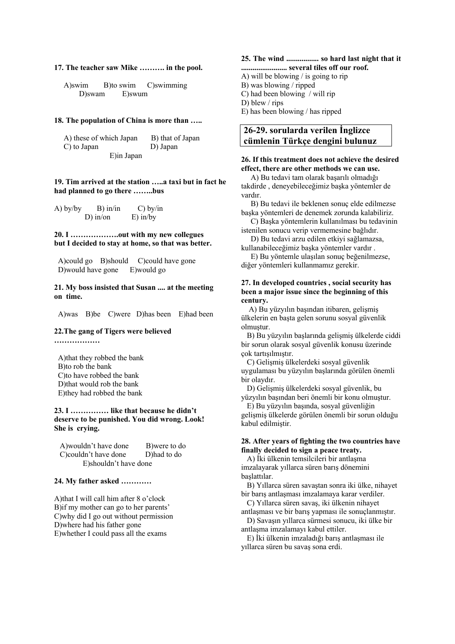#### **17. The teacher saw Mike ………. in the pool.**

 A)swim B)to swim C)swimming D)swam E)swum

#### **18. The population of China is more than …..**

| A) these of which Japan | B) that of Japan |
|-------------------------|------------------|
| C) to Japan             | D) Japan         |
| E)in Japan              |                  |

#### **19. Tim arrived at the station …..a taxi but in fact he had planned to go there ……..bus**

| A) by/by | $B)$ in/in | $C)$ by/in |
|----------|------------|------------|
|          | $D)$ in/on | $E)$ in/by |

#### **20. I ……………….out with my new collegues but I decided to stay at home, so that was better.**

 A)could go B)should C)could have gone D)would have gone E)would go

### **21. My boss insisted that Susan .... at the meeting on time.**

A)was B)be C)were D)has been E)had been

### **22.The gang of Tigers were believed**

**………………**

 A)that they robbed the bank B)to rob the bank C)to have robbed the bank D)that would rob the bank E)they had robbed the bank

#### **23. I …………… like that because he didn't deserve to be punished. You did wrong. Look! She is crying.**

| A) wouldn't have done | B) were to do |  |  |
|-----------------------|---------------|--|--|
| C) couldn't have done | D) had to do  |  |  |
| E)shouldn't have done |               |  |  |

### **24. My father asked …………**

A)that I will call him after 8 o'clock B)if my mother can go to her parents' C)why did I go out without permission D)where had his father gone E)whether I could pass all the exams

### **25. The wind ................. so hard last night that it ........................ several tiles off our roof.**

A) will be blowing / is going to rip

- B) was blowing / ripped
- C) had been blowing / will rip
- D) blew / rips
- E) has been blowing / has ripped

# **26-29. sorularda verilen İnglizce cümlenin Türkçe dengini bulunuz**

### **26. If this treatment does not achieve the desired effect, there are other methods we can use.**

A) Bu tedavi tam olarak başarılı olmadığı takdirde , deneyebileceğimiz başka yöntemler de vardır.

 B) Bu tedavi ile beklenen sonuç elde edilmezse başka yöntemleri de denemek zorunda kalabiliriz.

 C) Başka yöntemlerin kullanılması bu tedavinin istenilen sonucu verip vermemesine bağlıdır.

 D) Bu tedavi arzu edilen etkiyi sağlamazsa, kullanabileceğimiz başka yöntemler vardır .

 E) Bu yöntemle ulaşılan sonuç beğenilmezse, diğer yöntemleri kullanmamız gerekir.

#### **27. In developed countries , social security has been a major issue since the beginning of this century.**

 A) Bu yüzyılın başından itibaren, gelişmiş ülkelerin en başta gelen sorunu sosyal güvenlik olmuştur.

 B) Bu yüzyılın başlarında gelişmiş ülkelerde ciddi bir sorun olarak sosyal güvenlik konusu üzerinde çok tartışılmıştır.

 C) Gelişmiş ülkelerdeki sosyal güvenlik uygulaması bu yüzyılın başlarında görülen önemli bir olaydır.

 D) Gelişmiş ülkelerdeki sosyal güvenlik, bu yüzyılın başından beri önemli bir konu olmuştur.

 E) Bu yüzyılın başında, sosyal güvenliğin gelişmiş ülkelerde görülen önemli bir sorun olduğu kabul edilmiştir.

### **28. After years of fighting the two countries have finally decided to sign a peace treaty.**

 A) İki ülkenin temsilcileri bir antlaşma imzalayarak yıllarca süren barış dönemini başlattılar.

 B) Yıllarca süren savaştan sonra iki ülke, nihayet bir barış antlaşması imzalamaya karar verdiler.

 C) Yıllarca süren savaş, iki ülkenin nihayet antlaşması ve bir barış yapması ile sonuçlanmıştır.

 D) Savaşın yıllarca sürmesi sonucu, iki ülke bir antlaşma imzalamayı kabul ettiler.

 E) İki ülkenin imzaladığı barış antlaşması ile yıllarca süren bu savaş sona erdi.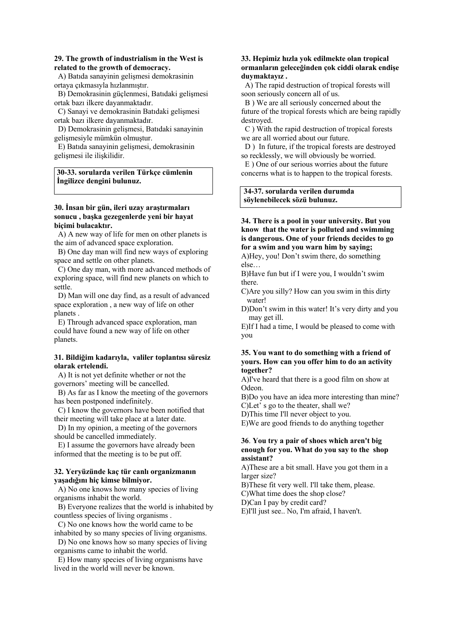#### **29. The growth of industrialism in the West is related to the growth of democracy.**

 A) Batıda sanayinin gelişmesi demokrasinin ortaya çıkmasıyla hızlanmıştır.

 B) Demokrasinin güçlenmesi, Batıdaki gelişmesi ortak bazı ilkere dayanmaktadır.

 C) Sanayi ve demokrasinin Batıdaki gelişmesi ortak bazı ilkere dayanmaktadır.

 D) Demokrasinin gelişmesi, Batıdaki sanayinin gelişmesiyle mümkün olmuştur.

 E) Batıda sanayinin gelişmesi, demokrasinin gelişmesi ile ilişkilidir.

**30-33. sorularda verilen Türkçe cümlenin İngilizce dengini bulunuz.**

### **30. İnsan bir gün, ileri uzay araştırmaları sonucu , başka gezegenlerde yeni bir hayat biçimi bulacaktır.**

A) A new way of life for men on other planets is the aim of advanced space exploration.

 B) One day man will find new ways of exploring space and settle on other planets.

 C) One day man, with more advanced methods of exploring space, will find new planets on which to settle.

 D) Man will one day find, as a result of advanced space exploration , a new way of life on other planets .

 E) Through advanced space exploration, man could have found a new way of life on other planets.

### **31. Bildiğim kadarıyla, valiler toplantısı süresiz olarak ertelendi.**

 A) It is not yet definite whether or not the governors' meeting will be cancelled.

 B) As far as I know the meeting of the governors has been postponed indefinitely.

 C) I know the governors have been notified that their meeting will take place at a later date.

 D) In my opinion, a meeting of the governors should be cancelled immediately.

 E) I assume the governors have already been informed that the meeting is to be put off.

### **32. Yeryüzünde kaç tür canlı organizmanın yaşadığını hiç kimse bilmiyor.**

 A) No one knows how many species of living organisms inhabit the world.

 B) Everyone realizes that the world is inhabited by countless species of living organisms .

 C) No one knows how the world came to be inhabited by so many species of living organisms.

 D) No one knows how so many species of living organisms came to inhabit the world.

 E) How many species of living organisms have lived in the world will never be known.

# **33. Hepimiz hızla yok edilmekte olan tropical ormanların geleceğinden çok ciddi olarak endişe duymaktayız .**

 A) The rapid destruction of tropical forests will soon seriously concern all of us.

 B ) We are all seriously concerned about the future of the tropical forests which are being rapidly destroyed.

 C ) With the rapid destruction of tropical forests we are all worried about our future.

 D ) In future, if the tropical forests are destroyed so recklessly, we will obviously be worried.

 E ) One of our serious worries about the future concerns what is to happen to the tropical forests.

### **34-37. sorularda verilen durumda söylenebilecek sözü bulunuz.**

**34. There is a pool in your university. But you know that the water is polluted and swimming is dangerous. One of your friends decides to go for a swim and you warn him by saying;** 

A)Hey, you! Don't swim there, do something else…

B)Have fun but if I were you, I wouldn't swim there.

C)Are you silly? How can you swim in this dirty water!

D)Don't swim in this water! It's very dirty and you may get ill.

E)If I had a time, I would be pleased to come with you

#### **35. You want to do something with a friend of yours. How can you offer him to do an activity together?**

A)I've heard that there is a good film on show at Odeon.

B)Do you have an idea more interesting than mine? C)Let' s go to the theater, shall we?

D)This time I'll never object to you.

E)We are good friends to do anything together

## **36**. **You try a pair of shoes which aren't big enough for you. What do you say to the shop assistant?**

A)These are a bit small. Have you got them in a larger size?

B)These fit very well. I'll take them, please.

C)What time does the shop close?

D)Can I pay by credit card?

E)I'll just see.. No, I'm afraid, I haven't.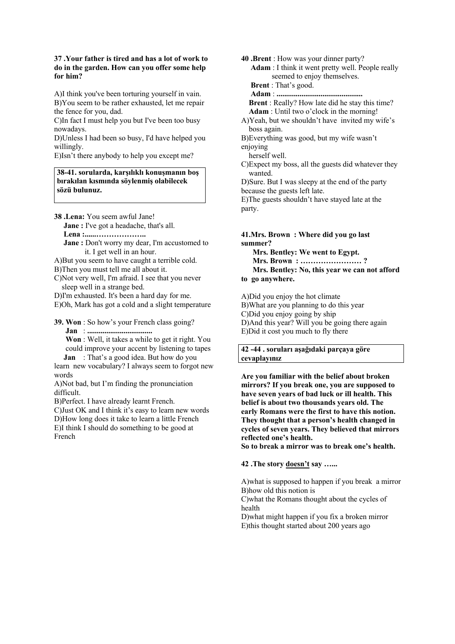## **37 .Your father is tired and has a lot of work to do in the garden. How can you offer some help for him?**

A)I think you've been torturing yourself in vain. B)You seem to be rather exhausted, let me repair the fence for you, dad.

C)In fact I must help you but I've been too busy nowadays.

D)Unless I had been so busy, I'd have helped you willingly.

E)Isn't there anybody to help you except me?

**38-41. sorularda, karşılıklı konuşmanın boş bırakılan kısmında söylenmiş olabilecek sözü bulunuz.** 

**38 .Lena:** You seem awful Jane!

 **Jane :** I've got a headache, that's all.

 **Lena :......………………..**

 **Jane :** Don't worry my dear, I'm accustomed to it. I get well in an hour.

A)But you seem to have caught a terrible cold.

B)Then you must tell me all about it.

C)Not very well, I'm afraid. I see that you never sleep well in a strange bed.

D)I'm exhausted. It's been a hard day for me.

E)Oh, Mark has got a cold and a slight temperature

**39. Won** : So how's your French class going?  **Jan** : **..................................**

 **Won** : Well, it takes a while to get it right. You could improve your accent by listening to tapes **Jan** : That's a good idea. But how do you

learn new vocabulary? I always seem to forgot new words

A)Not bad, but I'm finding the pronunciation difficult.

B)Perfect. I have already learnt French.

C)Just OK and I think it's easy to learn new words D)How long does it take to learn a little French E)I think I should do something to be good at French

**40 .Brent** : How was your dinner party?

 **Adam** : I think it went pretty well. People really seemed to enjoy themselves.

**Brent** : That's good.

**Adam** : **.............................................**

 **Brent** : Really? How late did he stay this time?  **Adam** : Until two o'clock in the morning!

A)Yeah, but we shouldn't have invited my wife's boss again.

B)Everything was good, but my wife wasn't enjoying

herself well.

C)Expect my boss, all the guests did whatever they wanted.

D)Sure. But I was sleepy at the end of the party because the guests left late.

E)The guests shouldn't have stayed late at the party.

#### **41.Mrs. Brown : Where did you go last summer?**

 **Mrs. Bentley: We went to Egypt.**

 **Mrs. Brown : …………………… ?**

 **Mrs. Bentley: No, this year we can not afford to go anywhere.**

A)Did you enjoy the hot climate

B)What are you planning to do this year C)Did you enjoy going by ship D)And this year? Will you be going there again E)Did it cost you much to fly there

**42 -44 . soruları aşağıdaki parçaya göre cevaplayınız**

**Are you familiar with the belief about broken mirrors? If you break one, you are supposed to have seven years of bad luck or ill health. This belief is about two thousands years old. The early Romans were the first to have this notion. They thought that a person's health changed in cycles of seven years. They believed that mirrors reflected one's health.** 

**So to break a mirror was to break one's health.**

# **42 .The story doesn't say …...**

A)what is supposed to happen if you break a mirror B)how old this notion is

C)what the Romans thought about the cycles of health

D)what might happen if you fix a broken mirror E)this thought started about 200 years ago